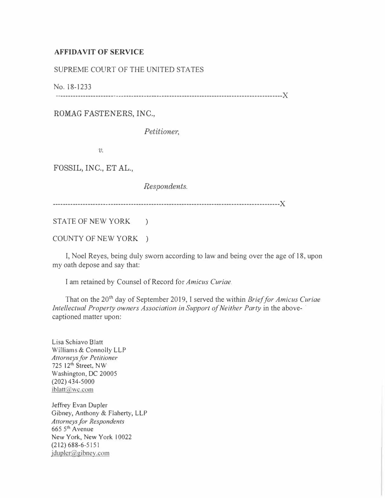## AFFIDAVIT OF SERVICE

## SUPREME COURT OF THE UNITED STATES

No. 18-1233

------------------------------------------------------------------------------------------)(

ROMAG FASTENERS, INC.,

Petitioner,

 $v$ .

FOSSIL, INC., ET AL.,

Respondents.

------------------------------------------------------------------------------------------)(

STATE OF NEW YORK )

COUNTY OF NEW YORK )

I, Noel Reyes, being duly sworn according to law and being over the age of 18, upon my oath depose and say that:

I am retained by Counsel of Record for Amicus Curiae.

That on the 20<sup>th</sup> day of September 2019, I served the within Brief for Amicus Curiae Intellectual Property owners Association in Support of Neither Party in the above- · captioned matter upon:

Lisa Schiavo Blatt Williams & Connolly LLP Attorneys for Petitioner 725 12th Street, NW Washington, DC 20005 (202) 434-5000 iblatt@wc.com

Jeffrey Evan Dupler Gibney, Anthony & Flaherty, LLP Attorneys for Respondents 665 5th A venue New York, New York 10022 (212) 688-6-5151  $j$ dupler@gibney.com